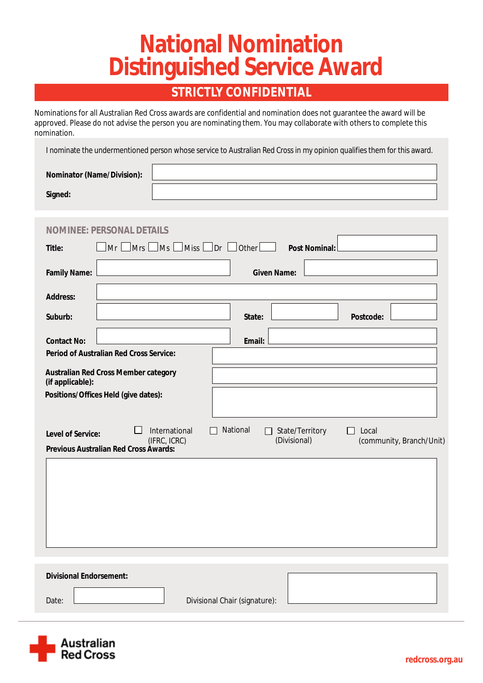# **National Nomination Distinguished Service Award**

## **STRICTLY CONFIDENTIAL**

Nominations for all Australian Red Cross awards are confidential and nomination does not guarantee the award will be approved. Please do not advise the person you are nominating them. You may collaborate with others to complete this nomination.

I nominate the undermentioned person whose service to Australian Red Cross in my opinion qualifies them for this award.

| <b>Nominator (Name/Division):</b> |  |
|-----------------------------------|--|
| Signed:                           |  |

| <b>NOMINE: PERSONAL DETAILS</b>                                                                                                                                                    |  |  |
|------------------------------------------------------------------------------------------------------------------------------------------------------------------------------------|--|--|
| $\lfloor$ Miss $\lfloor$ Dr $\lfloor$ Other $\lfloor$<br>$\Box$ Mrs $\Box$<br>$\Box$ Ms<br>Mr<br><b>Post Nominal:</b><br><b>Title:</b>                                             |  |  |
| <b>Family Name:</b><br><b>Given Name:</b>                                                                                                                                          |  |  |
| <b>Address:</b>                                                                                                                                                                    |  |  |
| Suburb:<br><b>Postcode:</b><br>State:                                                                                                                                              |  |  |
| <b>Contact No:</b><br><b>Email:</b>                                                                                                                                                |  |  |
| <b>Period of Australian Red Cross Service:</b>                                                                                                                                     |  |  |
| <b>Australian Red Cross Member category</b><br>(if applicable):                                                                                                                    |  |  |
| Positions/Offices Held (give dates):                                                                                                                                               |  |  |
| <b>National</b><br><b>International</b><br><b>State/Territory</b><br>Local<br>$\mathsf{L}$<br><b>Level of Service:</b><br>(IFRC, ICRC)<br>(Divisional)<br>(community, Branch/Unit) |  |  |
| <b>Previous Australian Red Cross Awards:</b>                                                                                                                                       |  |  |
|                                                                                                                                                                                    |  |  |
|                                                                                                                                                                                    |  |  |
|                                                                                                                                                                                    |  |  |
|                                                                                                                                                                                    |  |  |
|                                                                                                                                                                                    |  |  |
| <b>Divisional Endorsement:</b>                                                                                                                                                     |  |  |
| <b>Divisional Chair (signature):</b><br>Date:                                                                                                                                      |  |  |
|                                                                                                                                                                                    |  |  |

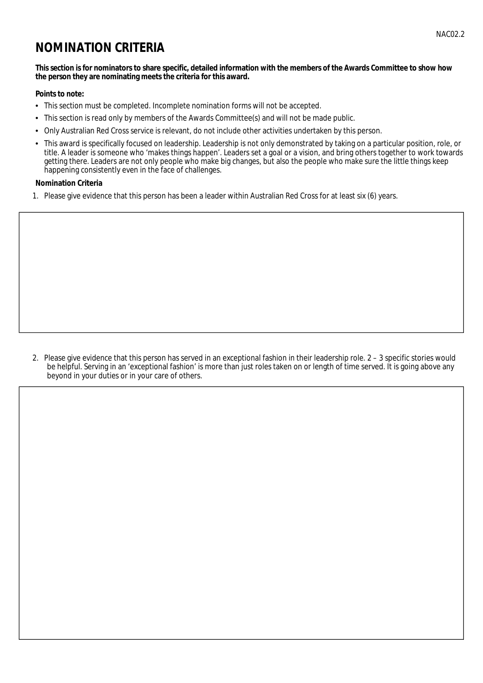### **NOMINATION CRITERIA**

#### This section is for nominators to share specific, detailed information with the members of the Awards Committee to show how the person they are nominating meets the criteria for this award.

#### **Points to note:**

- This section must be completed. Incomplete nomination forms will not be accepted.
- $\bullet$ This section is read only by members of the Awards Committee(s) and will not be made public.
- Only Australian Red Cross service is relevant, do not include other activities undertaken by this person.  $\bullet$
- This award is specifically focused on leadership. Leadership is not only demonstrated by taking on a particular position, role, or title. A leader is someone who 'makes things happen'. Leaders set a goal or a vision, and bring others together to work towards getting there. Leaders are not only people who make big changes, but also the people who make sure the little things keep happening consistently even in the face of challenges.

#### **Nomination Criteria**

1. Please give evidence that this person has been a leader within Australian Red Cross for at least six (6) years.

2. Please give evidence that this person has served in an exceptional fashion in their leadership role. 2 - 3 specific stories would be helpful. Serving in an 'exceptional fashion' is more than just roles taken on or length of time served. It is going above any beyond in your duties or in your care of others.